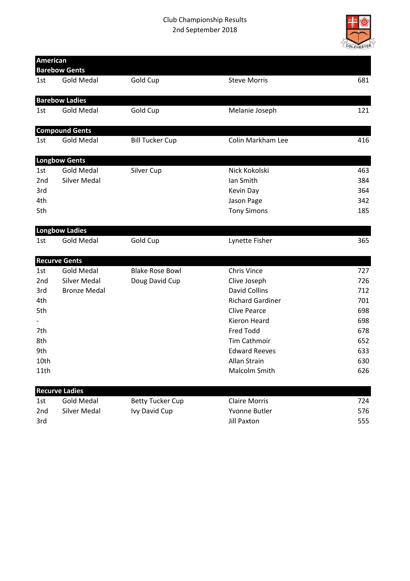## Club Championship Results 2nd September 2018



| <b>American</b> | <b>Barebow Gents</b>  |                         |                         |     |
|-----------------|-----------------------|-------------------------|-------------------------|-----|
| 1st             | <b>Gold Medal</b>     | Gold Cup                | <b>Steve Morris</b>     | 681 |
|                 | <b>Barebow Ladies</b> |                         |                         |     |
| 1st             | <b>Gold Medal</b>     | Gold Cup                | Melanie Joseph          | 121 |
|                 | <b>Compound Gents</b> |                         |                         |     |
| 1st             | <b>Gold Medal</b>     | <b>Bill Tucker Cup</b>  | Colin Markham Lee       | 416 |
|                 | <b>Longbow Gents</b>  |                         |                         |     |
| 1st             | <b>Gold Medal</b>     | Silver Cup              | Nick Kokolski           | 463 |
| 2 <sub>nd</sub> | <b>Silver Medal</b>   |                         | Ian Smith               | 384 |
| 3rd             |                       |                         | Kevin Day               | 364 |
| 4th             |                       |                         | Jason Page              | 342 |
| 5th             |                       |                         | <b>Tony Simons</b>      | 185 |
|                 | <b>Longbow Ladies</b> |                         |                         |     |
| 1st             | <b>Gold Medal</b>     | Gold Cup                | Lynette Fisher          | 365 |
|                 | <b>Recurve Gents</b>  |                         |                         |     |
| 1st             | <b>Gold Medal</b>     | <b>Blake Rose Bowl</b>  | <b>Chris Vince</b>      | 727 |
| 2 <sub>nd</sub> | <b>Silver Medal</b>   | Doug David Cup          | Clive Joseph            | 726 |
| 3rd             | <b>Bronze Medal</b>   |                         | <b>David Collins</b>    | 712 |
| 4th             |                       |                         | <b>Richard Gardiner</b> | 701 |
| 5th             |                       |                         | <b>Clive Pearce</b>     | 698 |
|                 |                       |                         | <b>Kieron Heard</b>     | 698 |
| 7th             |                       |                         | <b>Fred Todd</b>        | 678 |
| 8th             |                       |                         | Tim Cathmoir            | 652 |
| 9th             |                       |                         | <b>Edward Reeves</b>    | 633 |
| 10th            |                       |                         | Allan Strain            | 630 |
| 11th            |                       |                         | Malcolm Smith           | 626 |
|                 | <b>Recurve Ladies</b> |                         |                         |     |
| 1st             | <b>Gold Medal</b>     | <b>Betty Tucker Cup</b> | <b>Claire Morris</b>    | 724 |
| 2nd             | Silver Medal          | Ivy David Cup           | Yvonne Butler           | 576 |
| 3rd             |                       |                         | <b>Jill Paxton</b>      | 555 |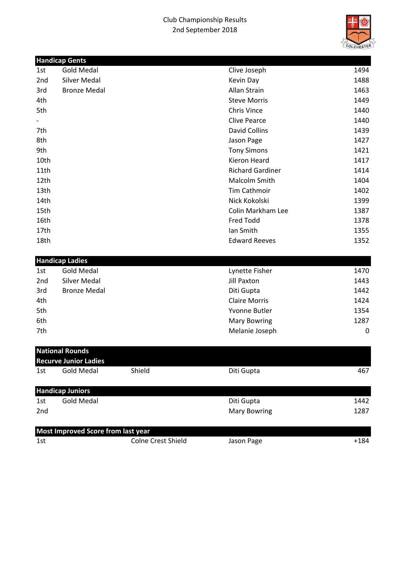## Club Championship Results 2nd September 2018



|                 | <b>Handicap Gents</b>  |                         |                  |
|-----------------|------------------------|-------------------------|------------------|
| 1st             | <b>Gold Medal</b>      | Clive Joseph            | 1494             |
| 2nd             | Silver Medal           | Kevin Day               | 1488             |
| 3rd             | <b>Bronze Medal</b>    | Allan Strain            | 1463             |
| 4th             |                        | <b>Steve Morris</b>     | 1449             |
| 5th             |                        | <b>Chris Vince</b>      | 1440             |
|                 |                        | <b>Clive Pearce</b>     | 1440             |
| 7th             |                        | <b>David Collins</b>    | 1439             |
| 8th             |                        | Jason Page              | 1427             |
| 9th             |                        | <b>Tony Simons</b>      | 1421             |
| 10th            |                        | <b>Kieron Heard</b>     | 1417             |
| 11th            |                        | <b>Richard Gardiner</b> | 1414             |
| 12th            |                        | Malcolm Smith           | 1404             |
| 13th            |                        | Tim Cathmoir            | 1402             |
| 14th            |                        | Nick Kokolski           | 1399             |
| 15th            |                        | Colin Markham Lee       | 1387             |
| 16th            |                        | Fred Todd               | 1378             |
| 17th            |                        | Ian Smith               | 1355             |
| 18th            |                        | <b>Edward Reeves</b>    | 1352             |
|                 | <b>Handicap Ladies</b> |                         |                  |
| 1st             | <b>Gold Medal</b>      | Lynette Fisher          | 1470             |
| 2 <sub>nd</sub> | <b>Silver Medal</b>    | <b>Jill Paxton</b>      | 1443             |
| 3rd             | <b>Bronze Medal</b>    | Diti Gupta              | 1442             |
| 4th             |                        | <b>Claire Morris</b>    | 1424             |
| 5th             |                        | <b>Yvonne Butler</b>    | 1354             |
| 6th             |                        | <b>Mary Bowring</b>     | 1287             |
| 7th             |                        | Melanie Joseph          | $\boldsymbol{0}$ |

| <b>National Rounds</b><br><b>Recurve Junior Ladies</b> |                                    |                           |                     |        |  |  |  |
|--------------------------------------------------------|------------------------------------|---------------------------|---------------------|--------|--|--|--|
| 1st                                                    | Gold Medal                         | Shield                    | Diti Gupta          | 467    |  |  |  |
|                                                        | <b>Handicap Juniors</b>            |                           |                     |        |  |  |  |
| 1st                                                    | Gold Medal                         |                           | Diti Gupta          | 1442   |  |  |  |
| 2nd                                                    |                                    |                           | <b>Mary Bowring</b> | 1287   |  |  |  |
|                                                        | Most Improved Score from last year |                           |                     |        |  |  |  |
| 1st                                                    |                                    | <b>Colne Crest Shield</b> | Jason Page          | $+184$ |  |  |  |